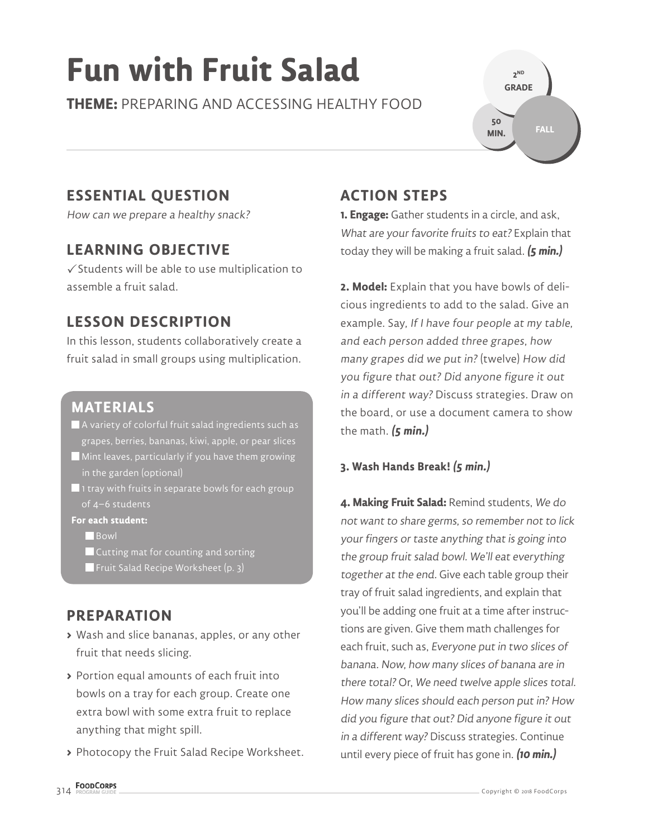# **Fun with Fruit Salad**

**THEME:** PREPARING AND ACCESSING HEALTHY FOOD



# **ESSENTIAL QUESTION**

How can we prepare a healthy snack?

# **LEARNING OBJECTIVE**

 $\checkmark$  Students will be able to use multiplication to assemble a fruit salad.

# **LESSON DESCRIPTION**

In this lesson, students collaboratively create a fruit salad in small groups using multiplication.

## **MATERIALS**

- A variety of colorful fruit salad ingredients such as grapes, berries, bananas, kiwi, apple, or pear slices
- $\blacksquare$  Mint leaves, particularly if you have them growing in the garden (optional)
- $\blacksquare$  1 tray with fruits in separate bowls for each group of 4–6 students

**For each student:**

**Bowl** 

- **Cutting mat for counting and sorting**
- **Fig. 3** Fruit Salad Recipe Worksheet (p. 3)

# **PREPARATION**

- **>** Wash and slice bananas, apples, or any other fruit that needs slicing.
- **>** Portion equal amounts of each fruit into bowls on a tray for each group. Create one extra bowl with some extra fruit to replace anything that might spill.
- **>** Photocopy the Fruit Salad Recipe Worksheet.

# **ACTION STEPS**

**1. Engage:** Gather students in a circle, and ask, What are your favorite fruits to eat? Explain that today they will be making a fruit salad. **(5 min.)**

**2. Model:** Explain that you have bowls of delicious ingredients to add to the salad. Give an example. Say, If I have four people at my table, and each person added three grapes, how many grapes did we put in? (twelve) How did you figure that out? Did anyone figure it out in a different way? Discuss strategies. Draw on the board, or use a document camera to show the math. **(5 min.)**

#### **3. Wash Hands Break! (5 min.)**

**4. Making Fruit Salad:** Remind students, We do not want to share germs, so remember not to lick your fingers or taste anything that is going into the group fruit salad bowl. We'll eat everything together at the end. Give each table group their tray of fruit salad ingredients, and explain that you'll be adding one fruit at a time after instructions are given. Give them math challenges for each fruit, such as, Everyone put in two slices of banana. Now, how many slices of banana are in there total? Or, We need twelve apple slices total. How many slices should each person put in? How did you figure that out? Did anyone figure it out in a different way? Discuss strategies. Continue until every piece of fruit has gone in. **(10 min.)**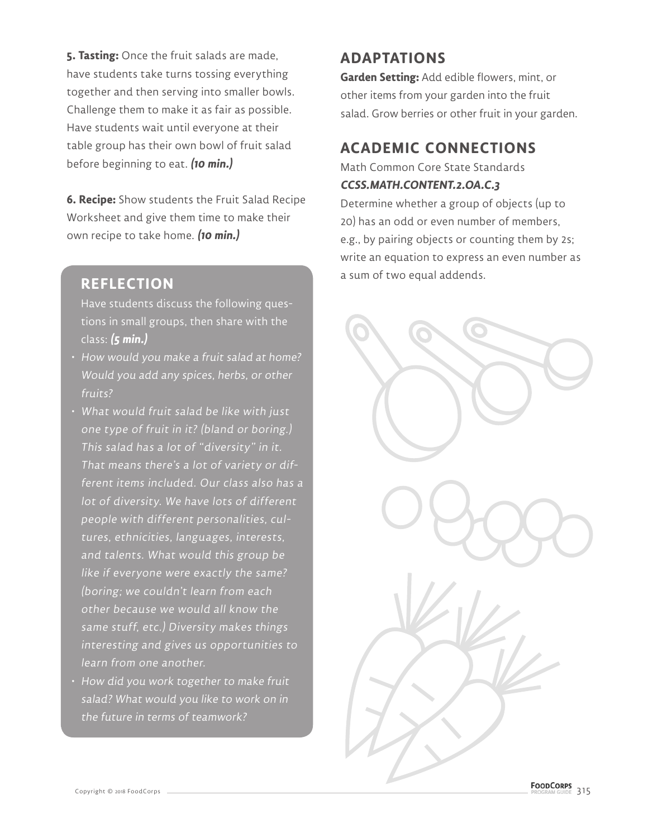**5. Tasting:** Once the fruit salads are made, have students take turns tossing everything together and then serving into smaller bowls. Challenge them to make it as fair as possible. Have students wait until everyone at their table group has their own bowl of fruit salad before beginning to eat. **(10 min.)**

**6. Recipe:** Show students the Fruit Salad Recipe Worksheet and give them time to make their own recipe to take home. **(10 min.)**

## **REFLECTION**

Have students discuss the following questions in small groups, then share with the class: **(5 min.)**

- How would you make a fruit salad at home? Would you add any spices, herbs, or other fruits?
- What would fruit salad be like with just one type of fruit in it? (bland or boring.) This salad has a lot of "diversity" in it. That means there's a lot of variety or different items included. Our class also has a lot of diversity. We have lots of different people with different personalities, cultures, ethnicities, languages, interests, and talents. What would this group be like if everyone were exactly the same? (boring; we couldn't learn from each other because we would all know the same stuff, etc.) Diversity makes things interesting and gives us opportunities to learn from one another.
- How did you work together to make fruit salad? What would you like to work on in the future in terms of teamwork?

# **ADAPTATIONS**

**Garden Setting:** Add edible flowers, mint, or other items from your garden into the fruit salad. Grow berries or other fruit in your garden.

# **ACADEMIC CONNECTIONS**

Math Common Core State Standards **CCSS.MATH.CONTENT.2.OA.C.3**

Determine whether a group of objects (up to 20) has an odd or even number of members, e.g., by pairing objects or counting them by 2s; write an equation to express an even number as a sum of two equal addends.